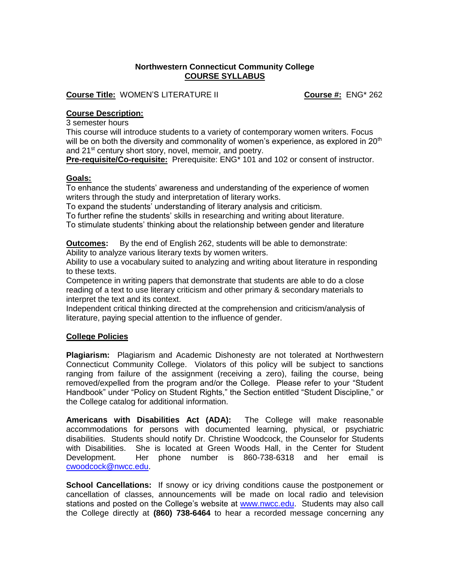# **Northwestern Connecticut Community College COURSE SYLLABUS**

**Course Title:** WOMEN'S LITERATURE II **Course #:** ENG\* 262

# **Course Description:**

3 semester hours

This course will introduce students to a variety of contemporary women writers. Focus will be on both the diversity and commonality of women's experience, as explored in  $20<sup>th</sup>$ and 21<sup>st</sup> century short story, novel, memoir, and poetry.

**Pre-requisite/Co-requisite:** Prerequisite: ENG\* 101 and 102 or consent of instructor.

### **Goals:**

To enhance the students' awareness and understanding of the experience of women writers through the study and interpretation of literary works.

To expand the students' understanding of literary analysis and criticism.

To further refine the students' skills in researching and writing about literature.

To stimulate students' thinking about the relationship between gender and literature

**Outcomes:** By the end of English 262, students will be able to demonstrate:

Ability to analyze various literary texts by women writers.

Ability to use a vocabulary suited to analyzing and writing about literature in responding to these texts.

Competence in writing papers that demonstrate that students are able to do a close reading of a text to use literary criticism and other primary & secondary materials to interpret the text and its context.

Independent critical thinking directed at the comprehension and criticism/analysis of literature, paying special attention to the influence of gender.

# **College Policies**

**Plagiarism:** Plagiarism and Academic Dishonesty are not tolerated at Northwestern Connecticut Community College. Violators of this policy will be subject to sanctions ranging from failure of the assignment (receiving a zero), failing the course, being removed/expelled from the program and/or the College. Please refer to your "Student Handbook" under "Policy on Student Rights," the Section entitled "Student Discipline," or the College catalog for additional information.

**Americans with Disabilities Act (ADA):** The College will make reasonable accommodations for persons with documented learning, physical, or psychiatric disabilities. Students should notify Dr. Christine Woodcock, the Counselor for Students with Disabilities. She is located at Green Woods Hall, in the Center for Student Development. Her phone number is 860-738-6318 and her email is [cwoodcock@nwcc.edu.](mailto:cwoodcock@nwcc.edu)

**School Cancellations:** If snowy or icy driving conditions cause the postponement or cancellation of classes, announcements will be made on local radio and television stations and posted on the College's website at [www.nwcc.edu.](http://www.nwcc.edu/) Students may also call the College directly at **(860) 738-6464** to hear a recorded message concerning any